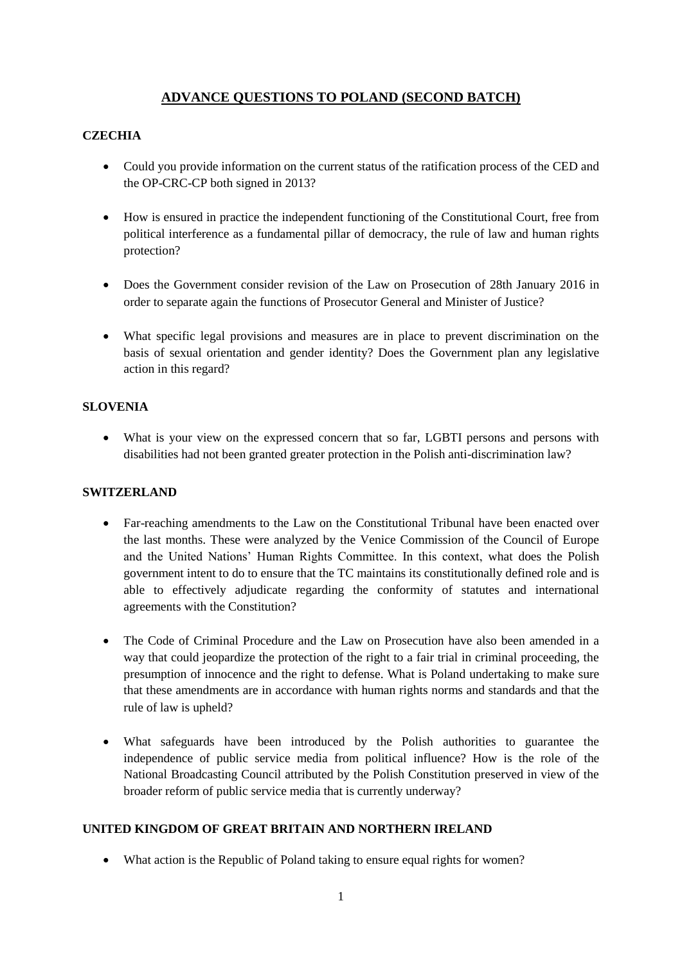# **ADVANCE QUESTIONS TO POLAND (SECOND BATCH)**

## **CZECHIA**

- Could you provide information on the current status of the ratification process of the CED and the OP-CRC-CP both signed in 2013?
- How is ensured in practice the independent functioning of the Constitutional Court, free from political interference as a fundamental pillar of democracy, the rule of law and human rights protection?
- Does the Government consider revision of the Law on Prosecution of 28th January 2016 in order to separate again the functions of Prosecutor General and Minister of Justice?
- What specific legal provisions and measures are in place to prevent discrimination on the basis of sexual orientation and gender identity? Does the Government plan any legislative action in this regard?

#### **SLOVENIA**

 What is your view on the expressed concern that so far, LGBTI persons and persons with disabilities had not been granted greater protection in the Polish anti-discrimination law?

### **SWITZERLAND**

- Far-reaching amendments to the Law on the Constitutional Tribunal have been enacted over the last months. These were analyzed by the Venice Commission of the Council of Europe and the United Nations' Human Rights Committee. In this context, what does the Polish government intent to do to ensure that the TC maintains its constitutionally defined role and is able to effectively adjudicate regarding the conformity of statutes and international agreements with the Constitution?
- The Code of Criminal Procedure and the Law on Prosecution have also been amended in a way that could jeopardize the protection of the right to a fair trial in criminal proceeding, the presumption of innocence and the right to defense. What is Poland undertaking to make sure that these amendments are in accordance with human rights norms and standards and that the rule of law is upheld?
- What safeguards have been introduced by the Polish authorities to guarantee the independence of public service media from political influence? How is the role of the National Broadcasting Council attributed by the Polish Constitution preserved in view of the broader reform of public service media that is currently underway?

### **UNITED KINGDOM OF GREAT BRITAIN AND NORTHERN IRELAND**

• What action is the Republic of Poland taking to ensure equal rights for women?